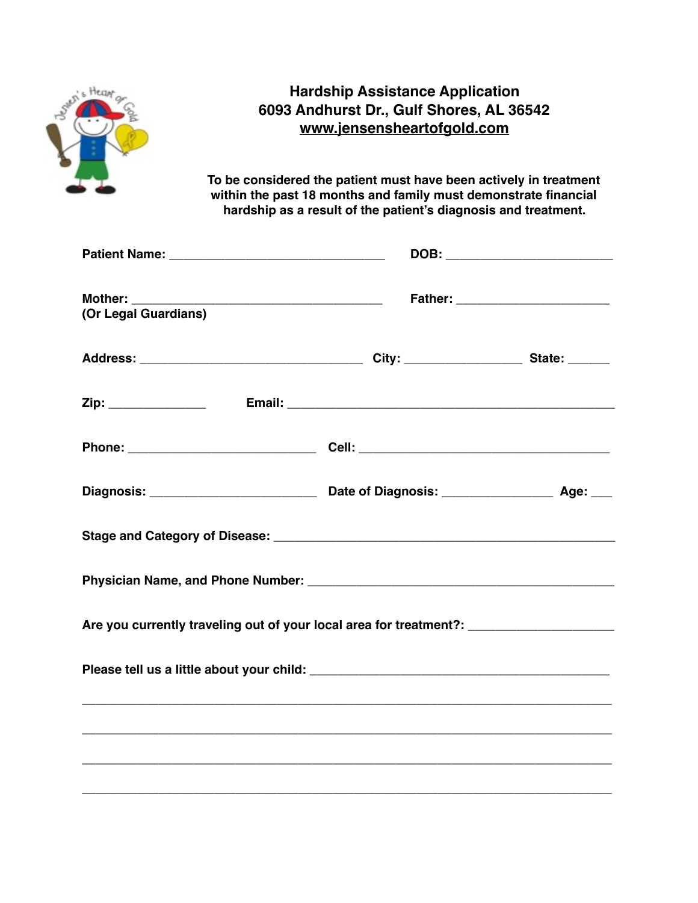|                                          | <b>Hardship Assistance Application</b><br>6093 Andhurst Dr., Gulf Shores, AL 36542<br>www.jensensheartofgold.com<br>To be considered the patient must have been actively in treatment<br>within the past 18 months and family must demonstrate financial<br>hardship as a result of the patient's diagnosis and treatment. |                                   |
|------------------------------------------|----------------------------------------------------------------------------------------------------------------------------------------------------------------------------------------------------------------------------------------------------------------------------------------------------------------------------|-----------------------------------|
|                                          |                                                                                                                                                                                                                                                                                                                            |                                   |
|                                          |                                                                                                                                                                                                                                                                                                                            | DOB: ____________________________ |
| (Or Legal Guardians)                     |                                                                                                                                                                                                                                                                                                                            |                                   |
|                                          |                                                                                                                                                                                                                                                                                                                            |                                   |
|                                          |                                                                                                                                                                                                                                                                                                                            |                                   |
|                                          |                                                                                                                                                                                                                                                                                                                            |                                   |
|                                          |                                                                                                                                                                                                                                                                                                                            |                                   |
|                                          |                                                                                                                                                                                                                                                                                                                            |                                   |
| <b>Physician Name, and Phone Number:</b> |                                                                                                                                                                                                                                                                                                                            |                                   |
|                                          | Are you currently traveling out of your local area for treatment?: ______________                                                                                                                                                                                                                                          |                                   |
|                                          |                                                                                                                                                                                                                                                                                                                            |                                   |
|                                          |                                                                                                                                                                                                                                                                                                                            |                                   |
|                                          |                                                                                                                                                                                                                                                                                                                            |                                   |
|                                          |                                                                                                                                                                                                                                                                                                                            |                                   |